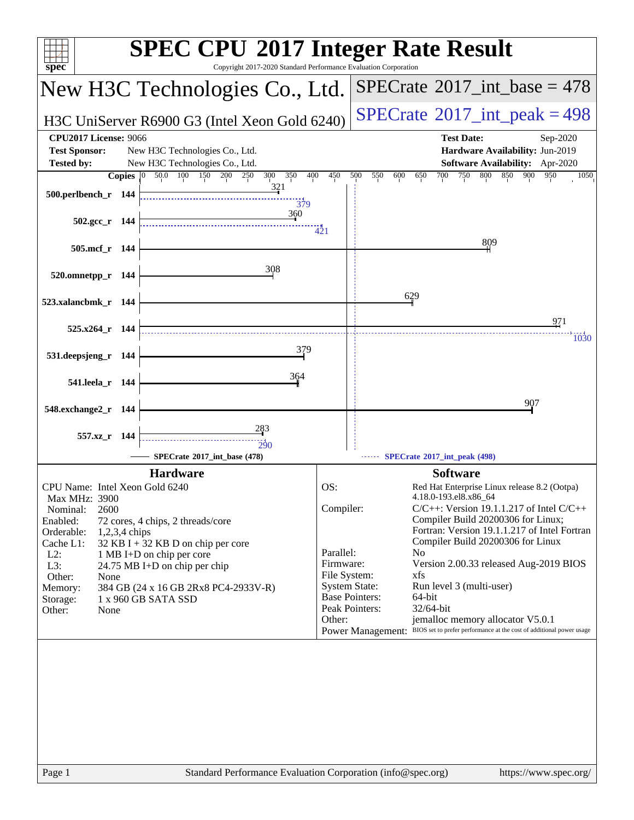| Copyright 2017-2020 Standard Performance Evaluation Corporation<br>spec®                                                                                                                                                                                                                                                                                                                                        | <b>SPEC CPU®2017 Integer Rate Result</b>                                                                                                                                                                                                                                                                                                                                                                                                                                                                                                                                                                                                                                      |
|-----------------------------------------------------------------------------------------------------------------------------------------------------------------------------------------------------------------------------------------------------------------------------------------------------------------------------------------------------------------------------------------------------------------|-------------------------------------------------------------------------------------------------------------------------------------------------------------------------------------------------------------------------------------------------------------------------------------------------------------------------------------------------------------------------------------------------------------------------------------------------------------------------------------------------------------------------------------------------------------------------------------------------------------------------------------------------------------------------------|
| New H3C Technologies Co., Ltd.                                                                                                                                                                                                                                                                                                                                                                                  | $SPECrate^{\circledast}2017\_int\_base = 478$                                                                                                                                                                                                                                                                                                                                                                                                                                                                                                                                                                                                                                 |
| H3C UniServer R6900 G3 (Intel Xeon Gold 6240)                                                                                                                                                                                                                                                                                                                                                                   | $SPECrate^{\circ}2017\_int\_peak = 498$                                                                                                                                                                                                                                                                                                                                                                                                                                                                                                                                                                                                                                       |
| <b>CPU2017 License: 9066</b><br><b>Test Sponsor:</b><br>New H3C Technologies Co., Ltd.<br>New H3C Technologies Co., Ltd.<br><b>Tested by:</b>                                                                                                                                                                                                                                                                   | <b>Test Date:</b><br>Sep-2020<br>Hardware Availability: Jun-2019<br><b>Software Availability:</b> Apr-2020                                                                                                                                                                                                                                                                                                                                                                                                                                                                                                                                                                    |
| 50.0 100 150<br>200<br>350<br>400<br>Copies $ 0 $<br>250<br>300<br>321                                                                                                                                                                                                                                                                                                                                          | 450<br>500<br>550<br>600<br>700<br>750<br>800<br>850<br>900<br>650<br>950<br>1050                                                                                                                                                                                                                                                                                                                                                                                                                                                                                                                                                                                             |
| 500.perlbench_r 144<br>379<br>360                                                                                                                                                                                                                                                                                                                                                                               |                                                                                                                                                                                                                                                                                                                                                                                                                                                                                                                                                                                                                                                                               |
| $502.\text{gcc}_r$ 144                                                                                                                                                                                                                                                                                                                                                                                          | 421<br>809                                                                                                                                                                                                                                                                                                                                                                                                                                                                                                                                                                                                                                                                    |
| 505.mcf_r 144<br>308                                                                                                                                                                                                                                                                                                                                                                                            |                                                                                                                                                                                                                                                                                                                                                                                                                                                                                                                                                                                                                                                                               |
| 520.omnetpp_r 144                                                                                                                                                                                                                                                                                                                                                                                               |                                                                                                                                                                                                                                                                                                                                                                                                                                                                                                                                                                                                                                                                               |
| 523.xalancbmk_r 144                                                                                                                                                                                                                                                                                                                                                                                             | 629                                                                                                                                                                                                                                                                                                                                                                                                                                                                                                                                                                                                                                                                           |
| $525.x264$ r 144                                                                                                                                                                                                                                                                                                                                                                                                | 971<br>1030                                                                                                                                                                                                                                                                                                                                                                                                                                                                                                                                                                                                                                                                   |
| 379<br>531.deepsjeng_r 144                                                                                                                                                                                                                                                                                                                                                                                      |                                                                                                                                                                                                                                                                                                                                                                                                                                                                                                                                                                                                                                                                               |
| 364<br>541.leela_r 144                                                                                                                                                                                                                                                                                                                                                                                          |                                                                                                                                                                                                                                                                                                                                                                                                                                                                                                                                                                                                                                                                               |
| 548.exchange2_r 144                                                                                                                                                                                                                                                                                                                                                                                             | 907                                                                                                                                                                                                                                                                                                                                                                                                                                                                                                                                                                                                                                                                           |
| 283<br>557.xz_r 144<br>290                                                                                                                                                                                                                                                                                                                                                                                      |                                                                                                                                                                                                                                                                                                                                                                                                                                                                                                                                                                                                                                                                               |
| SPECrate*2017_int_base (478)<br><b>Hardware</b>                                                                                                                                                                                                                                                                                                                                                                 | SPECrate*2017_int_peak (498)                                                                                                                                                                                                                                                                                                                                                                                                                                                                                                                                                                                                                                                  |
| CPU Name: Intel Xeon Gold 6240<br>Max MHz: 3900<br>2600<br>Nominal:<br>Enabled:<br>72 cores, 4 chips, 2 threads/core<br>Orderable:<br>1,2,3,4 chips<br>Cache L1:<br>32 KB I + 32 KB D on chip per core<br>$L2$ :<br>1 MB I+D on chip per core<br>L3:<br>24.75 MB I+D on chip per chip<br>Other:<br>None<br>384 GB (24 x 16 GB 2Rx8 PC4-2933V-R)<br>Memory:<br>1 x 960 GB SATA SSD<br>Storage:<br>Other:<br>None | <b>Software</b><br>OS:<br>Red Hat Enterprise Linux release 8.2 (Ootpa)<br>4.18.0-193.el8.x86_64<br>Compiler:<br>$C/C++$ : Version 19.1.1.217 of Intel $C/C++$<br>Compiler Build 20200306 for Linux;<br>Fortran: Version 19.1.1.217 of Intel Fortran<br>Compiler Build 20200306 for Linux<br>Parallel:<br>N <sub>0</sub><br>Firmware:<br>Version 2.00.33 released Aug-2019 BIOS<br>File System:<br>xfs<br><b>System State:</b><br>Run level 3 (multi-user)<br><b>Base Pointers:</b><br>64-bit<br>Peak Pointers:<br>32/64-bit<br>jemalloc memory allocator V5.0.1<br>Other:<br>BIOS set to prefer performance at the cost of additional power usage<br><b>Power Management:</b> |
| Page 1                                                                                                                                                                                                                                                                                                                                                                                                          | Standard Performance Evaluation Corporation (info@spec.org)<br>https://www.spec.org/                                                                                                                                                                                                                                                                                                                                                                                                                                                                                                                                                                                          |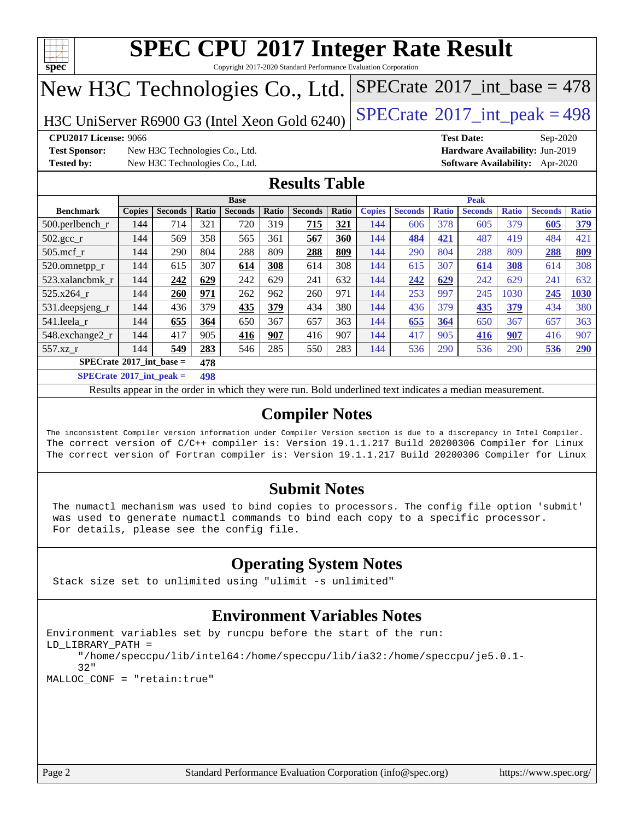

Copyright 2017-2020 Standard Performance Evaluation Corporation

# New H3C Technologies Co., Ltd.

H3C UniServer R6900 G3 (Intel Xeon Gold 6240) [SPECrate](http://www.spec.org/auto/cpu2017/Docs/result-fields.html#SPECrate2017intpeak)<sup>®</sup>[2017\\_int\\_peak = 4](http://www.spec.org/auto/cpu2017/Docs/result-fields.html#SPECrate2017intpeak)98

 $SPECTate@2017_int\_base = 478$ 

**[CPU2017 License:](http://www.spec.org/auto/cpu2017/Docs/result-fields.html#CPU2017License)** 9066 **[Test Date:](http://www.spec.org/auto/cpu2017/Docs/result-fields.html#TestDate)** Sep-2020

**[Test Sponsor:](http://www.spec.org/auto/cpu2017/Docs/result-fields.html#TestSponsor)** New H3C Technologies Co., Ltd. **[Hardware Availability:](http://www.spec.org/auto/cpu2017/Docs/result-fields.html#HardwareAvailability)** Jun-2019 **[Tested by:](http://www.spec.org/auto/cpu2017/Docs/result-fields.html#Testedby)** New H3C Technologies Co., Ltd. **[Software Availability:](http://www.spec.org/auto/cpu2017/Docs/result-fields.html#SoftwareAvailability)** Apr-2020

### **[Results Table](http://www.spec.org/auto/cpu2017/Docs/result-fields.html#ResultsTable)**

|                                          | <b>Base</b>   |                |            |                | <b>Peak</b> |                |       |               |                |              |                |              |                |              |
|------------------------------------------|---------------|----------------|------------|----------------|-------------|----------------|-------|---------------|----------------|--------------|----------------|--------------|----------------|--------------|
| <b>Benchmark</b>                         | <b>Copies</b> | <b>Seconds</b> | Ratio      | <b>Seconds</b> | Ratio       | <b>Seconds</b> | Ratio | <b>Copies</b> | <b>Seconds</b> | <b>Ratio</b> | <b>Seconds</b> | <b>Ratio</b> | <b>Seconds</b> | <b>Ratio</b> |
| $500.$ perlbench_r                       | 144           | 714            | 321        | 720            | 319         | 715            | 321   | 144           | 606            | 378          | 605            | 379          | 605            | 379          |
| $502.\text{sec}$ _r                      | 144           | 569            | 358        | 565            | 361         | 567            | 360   | 144           | 484            | 421          | 487            | 419          | 484            | 421          |
| $505$ .mcf $r$                           | 144           | 290            | 804        | 288            | 809         | 288            | 809   | 144           | 290            | 804          | 288            | 809          | 288            | 809          |
| 520.omnetpp_r                            | 144           | 615            | 307        | 614            | 308         | 614            | 308   | 144           | 615            | 307          | 614            | 308          | 614            | 308          |
| 523.xalancbmk r                          | 144           | 242            | 629        | 242            | 629         | 241            | 632   | 144           | 242            | <u>629</u>   | 242            | 629          | 241            | 632          |
| 525.x264 r                               | 144           | 260            | 971        | 262            | 962         | 260            | 971   | 144           | 253            | 997          | 245            | 1030         | 245            | 1030         |
| 531.deepsjeng_r                          | 144           | 436            | 379        | 435            | 379         | 434            | 380   | 144           | 436            | 379          | 435            | 379          | 434            | 380          |
| 541.leela r                              | 144           | 655            | 364        | 650            | 367         | 657            | 363   | 144           | 655            | 364          | 650            | 367          | 657            | 363          |
| 548.exchange2_r                          | 144           | 417            | 905        | 416            | 907         | 416            | 907   | 144           | 417            | 905          | 416            | 907          | 416            | 907          |
| 557.xz r                                 | 144           | 549            | 283        | 546            | 285         | 550            | 283   | 144           | 536            | 290          | 536            | 290          | 536            | 290          |
| $SPECrate^{\circ}2017$ int base =<br>478 |               |                |            |                |             |                |       |               |                |              |                |              |                |              |
| $CDP2Q \rightarrow 0.04E + 1$            |               |                | $\sqrt{2}$ |                |             |                |       |               |                |              |                |              |                |              |

**[SPECrate](http://www.spec.org/auto/cpu2017/Docs/result-fields.html#SPECrate2017intpeak)[2017\\_int\\_peak =](http://www.spec.org/auto/cpu2017/Docs/result-fields.html#SPECrate2017intpeak) 498**

Results appear in the [order in which they were run](http://www.spec.org/auto/cpu2017/Docs/result-fields.html#RunOrder). Bold underlined text [indicates a median measurement](http://www.spec.org/auto/cpu2017/Docs/result-fields.html#Median).

### **[Compiler Notes](http://www.spec.org/auto/cpu2017/Docs/result-fields.html#CompilerNotes)**

The inconsistent Compiler version information under Compiler Version section is due to a discrepancy in Intel Compiler. The correct version of C/C++ compiler is: Version 19.1.1.217 Build 20200306 Compiler for Linux The correct version of Fortran compiler is: Version 19.1.1.217 Build 20200306 Compiler for Linux

### **[Submit Notes](http://www.spec.org/auto/cpu2017/Docs/result-fields.html#SubmitNotes)**

 The numactl mechanism was used to bind copies to processors. The config file option 'submit' was used to generate numactl commands to bind each copy to a specific processor. For details, please see the config file.

### **[Operating System Notes](http://www.spec.org/auto/cpu2017/Docs/result-fields.html#OperatingSystemNotes)**

Stack size set to unlimited using "ulimit -s unlimited"

### **[Environment Variables Notes](http://www.spec.org/auto/cpu2017/Docs/result-fields.html#EnvironmentVariablesNotes)**

```
Environment variables set by runcpu before the start of the run:
LD_LIBRARY_PATH =
      "/home/speccpu/lib/intel64:/home/speccpu/lib/ia32:/home/speccpu/je5.0.1-
      32"
MALLOC_CONF = "retain:true"
```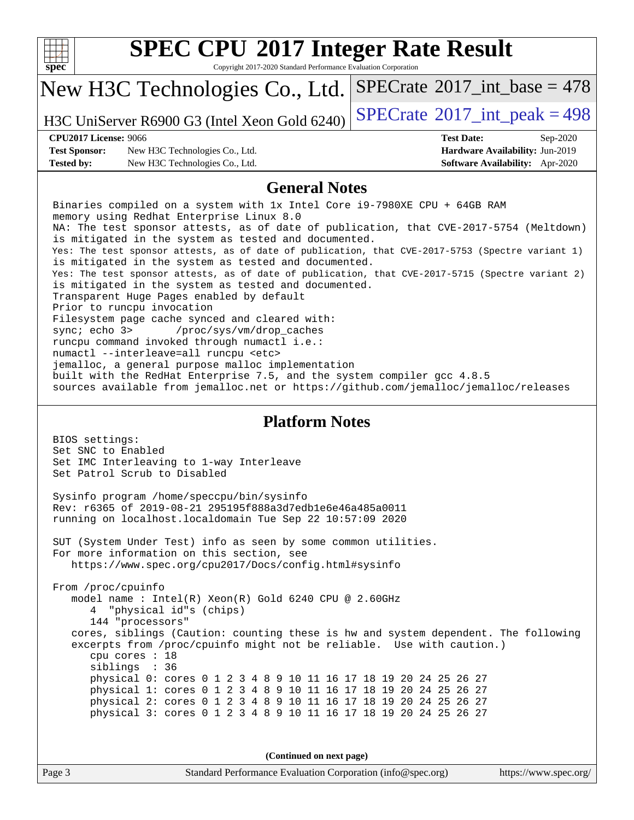| v<br>г |  |  |  |  |  |  |
|--------|--|--|--|--|--|--|

Copyright 2017-2020 Standard Performance Evaluation Corporation

## New H3C Technologies Co., Ltd.

H3C UniServer R6900 G3 (Intel Xeon Gold 6240)  $\left|$  [SPECrate](http://www.spec.org/auto/cpu2017/Docs/result-fields.html#SPECrate2017intpeak)<sup>®</sup>[2017\\_int\\_peak = 4](http://www.spec.org/auto/cpu2017/Docs/result-fields.html#SPECrate2017intpeak)98

 $SPECTate$ <sup>®</sup>[2017\\_int\\_base =](http://www.spec.org/auto/cpu2017/Docs/result-fields.html#SPECrate2017intbase) 478

#### **[CPU2017 License:](http://www.spec.org/auto/cpu2017/Docs/result-fields.html#CPU2017License)** 9066 **[Test Date:](http://www.spec.org/auto/cpu2017/Docs/result-fields.html#TestDate)** Sep-2020

**[Test Sponsor:](http://www.spec.org/auto/cpu2017/Docs/result-fields.html#TestSponsor)** New H3C Technologies Co., Ltd. **[Hardware Availability:](http://www.spec.org/auto/cpu2017/Docs/result-fields.html#HardwareAvailability)** Jun-2019 **[Tested by:](http://www.spec.org/auto/cpu2017/Docs/result-fields.html#Testedby)** New H3C Technologies Co., Ltd. **[Software Availability:](http://www.spec.org/auto/cpu2017/Docs/result-fields.html#SoftwareAvailability)** Apr-2020

#### **[General Notes](http://www.spec.org/auto/cpu2017/Docs/result-fields.html#GeneralNotes)**

 Binaries compiled on a system with 1x Intel Core i9-7980XE CPU + 64GB RAM memory using Redhat Enterprise Linux 8.0 NA: The test sponsor attests, as of date of publication, that CVE-2017-5754 (Meltdown) is mitigated in the system as tested and documented. Yes: The test sponsor attests, as of date of publication, that CVE-2017-5753 (Spectre variant 1) is mitigated in the system as tested and documented. Yes: The test sponsor attests, as of date of publication, that CVE-2017-5715 (Spectre variant 2) is mitigated in the system as tested and documented. Transparent Huge Pages enabled by default Prior to runcpu invocation Filesystem page cache synced and cleared with: sync; echo 3> /proc/sys/vm/drop\_caches runcpu command invoked through numactl i.e.: numactl --interleave=all runcpu <etc> jemalloc, a general purpose malloc implementation built with the RedHat Enterprise 7.5, and the system compiler gcc 4.8.5 sources available from jemalloc.net or<https://github.com/jemalloc/jemalloc/releases>

#### **[Platform Notes](http://www.spec.org/auto/cpu2017/Docs/result-fields.html#PlatformNotes)**

 BIOS settings: Set SNC to Enabled Set IMC Interleaving to 1-way Interleave Set Patrol Scrub to Disabled Sysinfo program /home/speccpu/bin/sysinfo Rev: r6365 of 2019-08-21 295195f888a3d7edb1e6e46a485a0011 running on localhost.localdomain Tue Sep 22 10:57:09 2020 SUT (System Under Test) info as seen by some common utilities. For more information on this section, see <https://www.spec.org/cpu2017/Docs/config.html#sysinfo> From /proc/cpuinfo model name : Intel(R) Xeon(R) Gold 6240 CPU @ 2.60GHz 4 "physical id"s (chips) 144 "processors" cores, siblings (Caution: counting these is hw and system dependent. The following excerpts from /proc/cpuinfo might not be reliable. Use with caution.) cpu cores : 18 siblings : 36 physical 0: cores 0 1 2 3 4 8 9 10 11 16 17 18 19 20 24 25 26 27 physical 1: cores 0 1 2 3 4 8 9 10 11 16 17 18 19 20 24 25 26 27 physical 2: cores 0 1 2 3 4 8 9 10 11 16 17 18 19 20 24 25 26 27 physical 3: cores 0 1 2 3 4 8 9 10 11 16 17 18 19 20 24 25 26 27

**(Continued on next page)**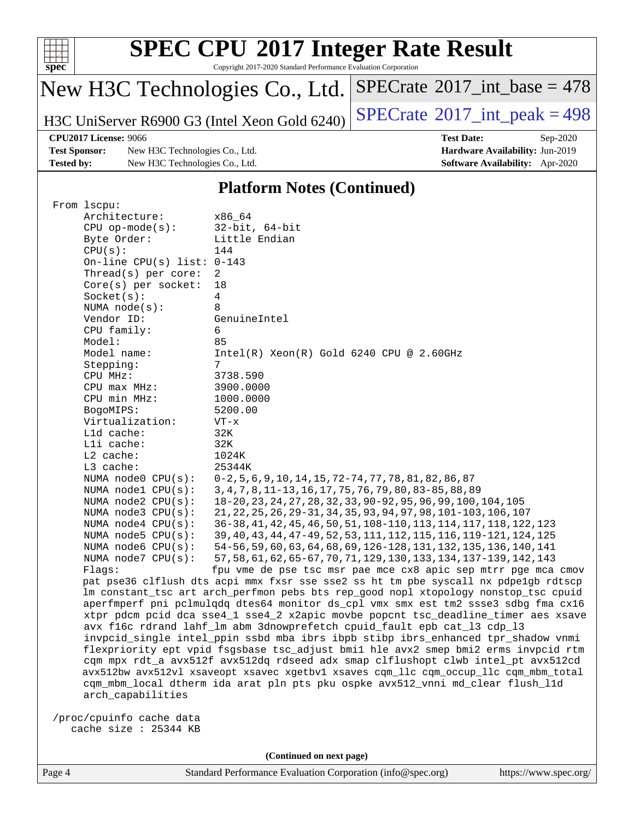

Copyright 2017-2020 Standard Performance Evaluation Corporation

# New H3C Technologies Co., Ltd.

H3C UniServer R6900 G3 (Intel Xeon Gold 6240) [SPECrate](http://www.spec.org/auto/cpu2017/Docs/result-fields.html#SPECrate2017intpeak)<sup>®</sup>[2017\\_int\\_peak = 4](http://www.spec.org/auto/cpu2017/Docs/result-fields.html#SPECrate2017intpeak)98

 $SPECrate$ <sup>®</sup>[2017\\_int\\_base =](http://www.spec.org/auto/cpu2017/Docs/result-fields.html#SPECrate2017intbase) 478

**[Test Sponsor:](http://www.spec.org/auto/cpu2017/Docs/result-fields.html#TestSponsor)** New H3C Technologies Co., Ltd. **[Hardware Availability:](http://www.spec.org/auto/cpu2017/Docs/result-fields.html#HardwareAvailability)** Jun-2019 **[Tested by:](http://www.spec.org/auto/cpu2017/Docs/result-fields.html#Testedby)** New H3C Technologies Co., Ltd. **[Software Availability:](http://www.spec.org/auto/cpu2017/Docs/result-fields.html#SoftwareAvailability)** Apr-2020

**[CPU2017 License:](http://www.spec.org/auto/cpu2017/Docs/result-fields.html#CPU2017License)** 9066 **[Test Date:](http://www.spec.org/auto/cpu2017/Docs/result-fields.html#TestDate)** Sep-2020

#### **[Platform Notes \(Continued\)](http://www.spec.org/auto/cpu2017/Docs/result-fields.html#PlatformNotes)**

| From 1scpu:                  |                                                                                      |
|------------------------------|--------------------------------------------------------------------------------------|
| Architecture:                | x86 64                                                                               |
| $CPU$ op-mode( $s$ ):        | $32$ -bit, $64$ -bit                                                                 |
| Byte Order:                  | Little Endian                                                                        |
| CPU(s):                      | 144                                                                                  |
| On-line CPU(s) list: $0-143$ |                                                                                      |
| Thread( $s$ ) per core:      | 2                                                                                    |
| $Core(s)$ per socket:        | 18                                                                                   |
| Socket(s):                   | 4                                                                                    |
| NUMA $node(s):$              | 8                                                                                    |
| Vendor ID:                   | GenuineIntel                                                                         |
| CPU family:                  | 6                                                                                    |
| Model:                       | 85                                                                                   |
| Model name:                  | $Intel(R)$ Xeon $(R)$ Gold 6240 CPU @ 2.60GHz                                        |
| Stepping:                    | 7                                                                                    |
| CPU MHz:                     | 3738.590                                                                             |
| CPU max MHz:                 | 3900.0000                                                                            |
| CPU min MHz:                 | 1000.0000                                                                            |
| BogoMIPS:                    | 5200.00                                                                              |
| Virtualization:              | $VT - x$                                                                             |
| Lld cache:                   | 32K                                                                                  |
| Lli cache:                   | 32K                                                                                  |
| $L2$ cache:                  | 1024K                                                                                |
| L3 cache:                    | 25344K                                                                               |
| NUMA node0 CPU(s):           | $0-2, 5, 6, 9, 10, 14, 15, 72-74, 77, 78, 81, 82, 86, 87$                            |
| NUMA nodel $CPU(s):$         | 3, 4, 7, 8, 11-13, 16, 17, 75, 76, 79, 80, 83-85, 88, 89                             |
| NUMA $node2$ $CPU(s):$       | 18-20, 23, 24, 27, 28, 32, 33, 90-92, 95, 96, 99, 100, 104, 105                      |
| NUMA $node3$ CPU $(s)$ :     | 21, 22, 25, 26, 29-31, 34, 35, 93, 94, 97, 98, 101-103, 106, 107                     |
| NUMA $node4$ $CPU(s):$       | 36-38, 41, 42, 45, 46, 50, 51, 108-110, 113, 114, 117, 118, 122, 123                 |
| NUMA node5 $CPU(s):$         | 39, 40, 43, 44, 47-49, 52, 53, 111, 112, 115, 116, 119-121, 124, 125                 |
| NUMA node6 $CPU(s):$         | 54-56, 59, 60, 63, 64, 68, 69, 126-128, 131, 132, 135, 136, 140, 141                 |
| NUMA node7 CPU(s):           | 57, 58, 61, 62, 65-67, 70, 71, 129, 130, 133, 134, 137-139, 142, 143                 |
| Flaqs:                       | fpu vme de pse tsc msr pae mce cx8 apic sep mtrr pge mca cmov                        |
|                              | pat pse36 clflush dts acpi mmx fxsr sse sse2 ss ht tm pbe syscall nx pdpe1qb rdtscp  |
|                              | lm constant_tsc art arch_perfmon pebs bts rep_good nopl xtopology nonstop_tsc cpuid  |
|                              | aperfmperf pni pclmulqdq dtes64 monitor ds_cpl vmx smx est tm2 ssse3 sdbg fma cx16   |
|                              | xtpr pdcm pcid dca sse4_1 sse4_2 x2apic movbe popcnt tsc_deadline_timer aes xsave    |
|                              | avx f16c rdrand lahf_lm abm 3dnowprefetch cpuid_fault epb cat_13 cdp_13              |
|                              | invpcid_single intel_ppin ssbd mba ibrs ibpb stibp ibrs_enhanced tpr_shadow vnmi     |
|                              | flexpriority ept vpid fsgsbase tsc_adjust bmil hle avx2 smep bmi2 erms invpcid rtm   |
|                              | cqm mpx rdt_a avx512f avx512dq rdseed adx smap clflushopt clwb intel_pt avx512cd     |
|                              | avx512bw avx512vl xsaveopt xsavec xgetbvl xsaves cgm_llc cgm_occup_llc cgm_mbm_total |
|                              | cqm_mbm_local dtherm ida arat pln pts pku ospke avx512_vnni md_clear flush_l1d       |
| arch_capabilities            |                                                                                      |
|                              |                                                                                      |
| /proc/cpuinfo cache data     |                                                                                      |
| cache size : 25344 KB        |                                                                                      |

**(Continued on next page)**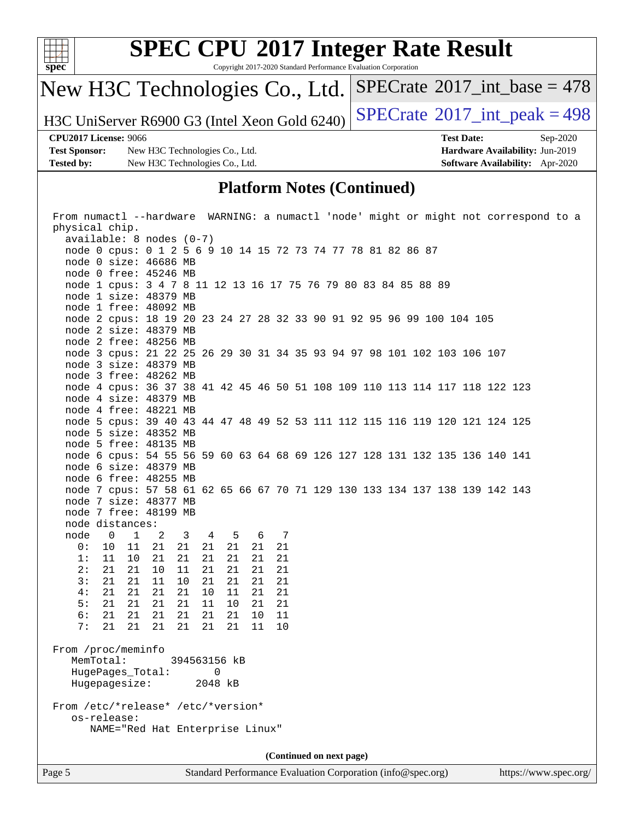

Copyright 2017-2020 Standard Performance Evaluation Corporation

# New H3C Technologies Co., Ltd.

H3C UniServer R6900 G3 (Intel Xeon Gold 6240) [SPECrate](http://www.spec.org/auto/cpu2017/Docs/result-fields.html#SPECrate2017intpeak)<sup>®</sup>[2017\\_int\\_peak = 4](http://www.spec.org/auto/cpu2017/Docs/result-fields.html#SPECrate2017intpeak)98

 $SPECrate$ <sup>®</sup>[2017\\_int\\_base =](http://www.spec.org/auto/cpu2017/Docs/result-fields.html#SPECrate2017intbase) 478

**[Test Sponsor:](http://www.spec.org/auto/cpu2017/Docs/result-fields.html#TestSponsor)** New H3C Technologies Co., Ltd. **[Hardware Availability:](http://www.spec.org/auto/cpu2017/Docs/result-fields.html#HardwareAvailability)** Jun-2019 **[Tested by:](http://www.spec.org/auto/cpu2017/Docs/result-fields.html#Testedby)** New H3C Technologies Co., Ltd. **[Software Availability:](http://www.spec.org/auto/cpu2017/Docs/result-fields.html#SoftwareAvailability)** Apr-2020

**[CPU2017 License:](http://www.spec.org/auto/cpu2017/Docs/result-fields.html#CPU2017License)** 9066 **[Test Date:](http://www.spec.org/auto/cpu2017/Docs/result-fields.html#TestDate)** Sep-2020

#### **[Platform Notes \(Continued\)](http://www.spec.org/auto/cpu2017/Docs/result-fields.html#PlatformNotes)**

| From numactl --hardware WARNING: a numactl 'node' might or might not correspond to a |  |  |  |  |  |
|--------------------------------------------------------------------------------------|--|--|--|--|--|
| physical chip.                                                                       |  |  |  |  |  |
| $available: 8 nodes (0-7)$                                                           |  |  |  |  |  |
| node 0 cpus: 0 1 2 5 6 9 10 14 15 72 73 74 77 78 81 82 86 87                         |  |  |  |  |  |
| node 0 size: 46686 MB                                                                |  |  |  |  |  |
| node 0 free: 45246 MB                                                                |  |  |  |  |  |
| node 1 cpus: 3 4 7 8 11 12 13 16 17 75 76 79 80 83 84 85 88 89                       |  |  |  |  |  |
| node 1 size: 48379 MB                                                                |  |  |  |  |  |
| node 1 free: 48092 MB                                                                |  |  |  |  |  |
| node 2 cpus: 18 19 20 23 24 27 28 32 33 90 91 92 95 96 99 100 104 105                |  |  |  |  |  |
| node 2 size: 48379 MB                                                                |  |  |  |  |  |
| node 2 free: 48256 MB                                                                |  |  |  |  |  |
| node 3 cpus: 21 22 25 26 29 30 31 34 35 93 94 97 98 101 102 103 106 107              |  |  |  |  |  |
| node 3 size: 48379 MB                                                                |  |  |  |  |  |
| node 3 free: 48262 MB                                                                |  |  |  |  |  |
| node 4 cpus: 36 37 38 41 42 45 46 50 51 108 109 110 113 114 117 118 122 123          |  |  |  |  |  |
| node 4 size: 48379 MB                                                                |  |  |  |  |  |
| node 4 free: 48221 MB                                                                |  |  |  |  |  |
| node 5 cpus: 39 40 43 44 47 48 49 52 53 111 112 115 116 119 120 121 124 125          |  |  |  |  |  |
| node 5 size: 48352 MB                                                                |  |  |  |  |  |
| node 5 free: 48135 MB                                                                |  |  |  |  |  |
| node 6 cpus: 54 55 56 59 60 63 64 68 69 126 127 128 131 132 135 136 140 141          |  |  |  |  |  |
| node 6 size: 48379 MB                                                                |  |  |  |  |  |
| node 6 free: 48255 MB                                                                |  |  |  |  |  |
| node 7 cpus: 57 58 61 62 65 66 67 70 71 129 130 133 134 137 138 139 142 143          |  |  |  |  |  |
| node 7 size: 48377 MB                                                                |  |  |  |  |  |
| node 7 free: 48199 MB                                                                |  |  |  |  |  |
| node distances:                                                                      |  |  |  |  |  |
| node<br>$\overline{1}$<br>3 4 5<br>6 7<br>$\overline{\phantom{0}}$<br>2              |  |  |  |  |  |
| 21<br>0:<br>10<br>11<br>21<br>21<br>21<br>21<br>21                                   |  |  |  |  |  |
| 1:<br>11<br>10<br>21<br>21<br>21<br>21<br>21<br>21                                   |  |  |  |  |  |
| 2:<br>21<br>21<br>10<br>11<br>21<br>21<br>21<br>21                                   |  |  |  |  |  |
| 3:<br>21<br>10<br>21<br>11<br>21<br>21<br>21<br>21                                   |  |  |  |  |  |
| 4:<br>21<br>21<br>21<br>21<br>10<br>11<br>21<br>21<br>5:<br>21<br>21<br>21<br>21     |  |  |  |  |  |
| 11<br>10<br>21<br>21<br>6:<br>21<br>21<br>21<br>11<br>21<br>21<br>21                 |  |  |  |  |  |
| 10<br>7:<br>21<br>21<br>21<br>21<br>21 21<br>11<br>10                                |  |  |  |  |  |
|                                                                                      |  |  |  |  |  |
| From /proc/meminfo                                                                   |  |  |  |  |  |
| MemTotal:<br>394563156 kB                                                            |  |  |  |  |  |
| HugePages_Total:<br>0                                                                |  |  |  |  |  |
| Hugepagesize:<br>2048 kB                                                             |  |  |  |  |  |
|                                                                                      |  |  |  |  |  |
| From /etc/*release* /etc/*version*                                                   |  |  |  |  |  |
| os-release:                                                                          |  |  |  |  |  |
| NAME="Red Hat Enterprise Linux"                                                      |  |  |  |  |  |
|                                                                                      |  |  |  |  |  |
| (Continued on next page)                                                             |  |  |  |  |  |
|                                                                                      |  |  |  |  |  |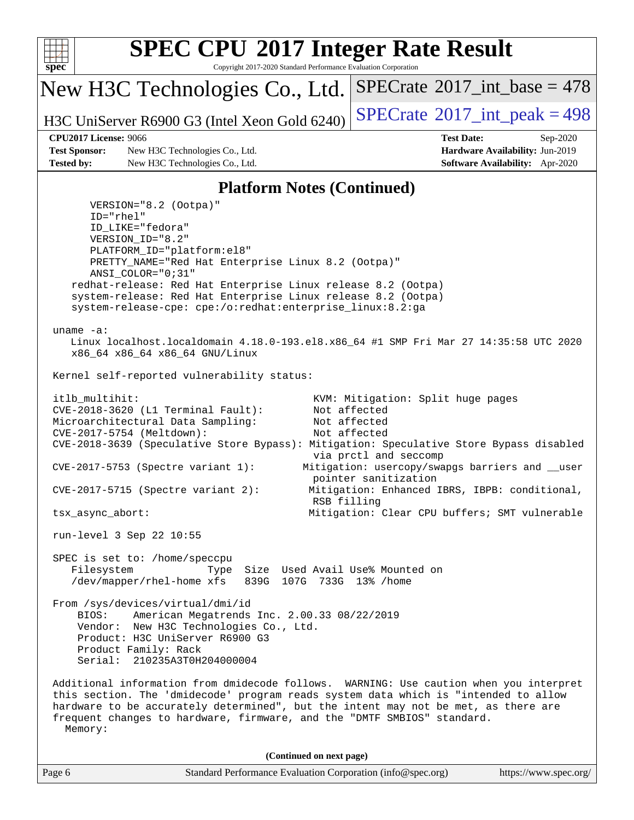

Copyright 2017-2020 Standard Performance Evaluation Corporation

New H3C Technologies Co., Ltd.

H3C UniServer R6900 G3 (Intel Xeon Gold 6240)  $\left|$  [SPECrate](http://www.spec.org/auto/cpu2017/Docs/result-fields.html#SPECrate2017intpeak)<sup>®</sup>[2017\\_int\\_peak = 4](http://www.spec.org/auto/cpu2017/Docs/result-fields.html#SPECrate2017intpeak)98

 $SPECTate$ <sup>®</sup>[2017\\_int\\_base =](http://www.spec.org/auto/cpu2017/Docs/result-fields.html#SPECrate2017intbase) 478

**[Test Sponsor:](http://www.spec.org/auto/cpu2017/Docs/result-fields.html#TestSponsor)** New H3C Technologies Co., Ltd. **[Hardware Availability:](http://www.spec.org/auto/cpu2017/Docs/result-fields.html#HardwareAvailability)** Jun-2019 **[Tested by:](http://www.spec.org/auto/cpu2017/Docs/result-fields.html#Testedby)** New H3C Technologies Co., Ltd. **[Software Availability:](http://www.spec.org/auto/cpu2017/Docs/result-fields.html#SoftwareAvailability)** Apr-2020

**[CPU2017 License:](http://www.spec.org/auto/cpu2017/Docs/result-fields.html#CPU2017License)** 9066 **[Test Date:](http://www.spec.org/auto/cpu2017/Docs/result-fields.html#TestDate)** Sep-2020

#### **[Platform Notes \(Continued\)](http://www.spec.org/auto/cpu2017/Docs/result-fields.html#PlatformNotes)**

Page 6 Standard Performance Evaluation Corporation [\(info@spec.org\)](mailto:info@spec.org) <https://www.spec.org/> VERSION="8.2 (Ootpa)" ID="rhel" ID\_LIKE="fedora" VERSION\_ID="8.2" PLATFORM\_ID="platform:el8" PRETTY\_NAME="Red Hat Enterprise Linux 8.2 (Ootpa)" ANSI\_COLOR="0;31" redhat-release: Red Hat Enterprise Linux release 8.2 (Ootpa) system-release: Red Hat Enterprise Linux release 8.2 (Ootpa) system-release-cpe: cpe:/o:redhat:enterprise\_linux:8.2:ga uname -a: Linux localhost.localdomain 4.18.0-193.el8.x86\_64 #1 SMP Fri Mar 27 14:35:58 UTC 2020 x86\_64 x86\_64 x86\_64 GNU/Linux Kernel self-reported vulnerability status: itlb\_multihit: KVM: Mitigation: Split huge pages CVE-2018-3620 (L1 Terminal Fault): Not affected Microarchitectural Data Sampling: Not affected CVE-2017-5754 (Meltdown): Not affected CVE-2018-3639 (Speculative Store Bypass): Mitigation: Speculative Store Bypass disabled via prctl and seccomp CVE-2017-5753 (Spectre variant 1): Mitigation: usercopy/swapgs barriers and \_\_user pointer sanitization CVE-2017-5715 (Spectre variant 2): Mitigation: Enhanced IBRS, IBPB: conditional, RSB filling tsx\_async\_abort: Mitigation: Clear CPU buffers; SMT vulnerable run-level 3 Sep 22 10:55 SPEC is set to: /home/speccpu Filesystem Type Size Used Avail Use% Mounted on /dev/mapper/rhel-home xfs 839G 107G 733G 13% /home From /sys/devices/virtual/dmi/id BIOS: American Megatrends Inc. 2.00.33 08/22/2019 Vendor: New H3C Technologies Co., Ltd. Product: H3C UniServer R6900 G3 Product Family: Rack Serial: 210235A3T0H204000004 Additional information from dmidecode follows. WARNING: Use caution when you interpret this section. The 'dmidecode' program reads system data which is "intended to allow hardware to be accurately determined", but the intent may not be met, as there are frequent changes to hardware, firmware, and the "DMTF SMBIOS" standard. Memory: **(Continued on next page)**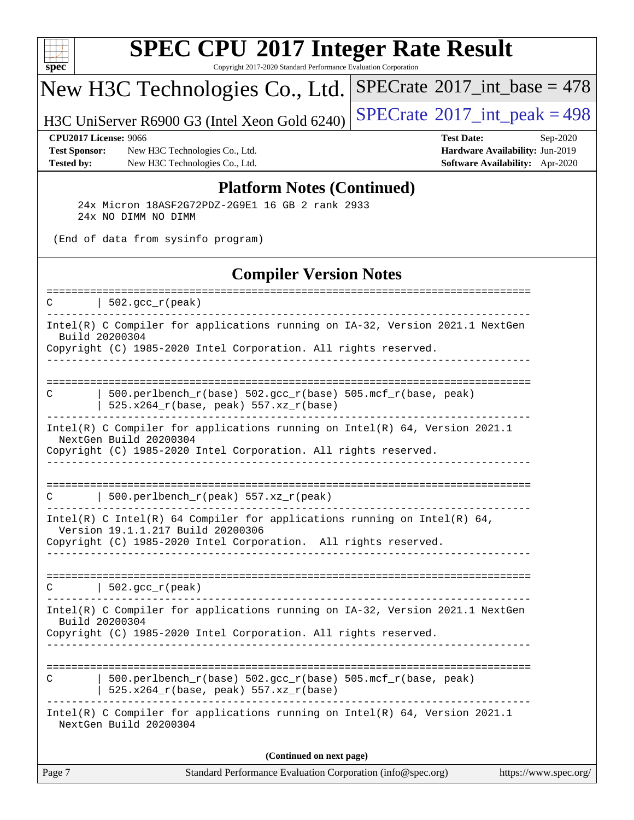

Copyright 2017-2020 Standard Performance Evaluation Corporation

# New H3C Technologies Co., Ltd.

H3C UniServer R6900 G3 (Intel Xeon Gold 6240) [SPECrate](http://www.spec.org/auto/cpu2017/Docs/result-fields.html#SPECrate2017intpeak)<sup>®</sup>[2017\\_int\\_peak = 4](http://www.spec.org/auto/cpu2017/Docs/result-fields.html#SPECrate2017intpeak)98

 $SPECrate$ <sup>®</sup>[2017\\_int\\_base =](http://www.spec.org/auto/cpu2017/Docs/result-fields.html#SPECrate2017intbase) 478

**[Test Sponsor:](http://www.spec.org/auto/cpu2017/Docs/result-fields.html#TestSponsor)** New H3C Technologies Co., Ltd. **[Hardware Availability:](http://www.spec.org/auto/cpu2017/Docs/result-fields.html#HardwareAvailability)** Jun-2019 **[Tested by:](http://www.spec.org/auto/cpu2017/Docs/result-fields.html#Testedby)** New H3C Technologies Co., Ltd. **[Software Availability:](http://www.spec.org/auto/cpu2017/Docs/result-fields.html#SoftwareAvailability)** Apr-2020

**[CPU2017 License:](http://www.spec.org/auto/cpu2017/Docs/result-fields.html#CPU2017License)** 9066 **[Test Date:](http://www.spec.org/auto/cpu2017/Docs/result-fields.html#TestDate)** Sep-2020

#### **[Platform Notes \(Continued\)](http://www.spec.org/auto/cpu2017/Docs/result-fields.html#PlatformNotes)**

 24x Micron 18ASF2G72PDZ-2G9E1 16 GB 2 rank 2933 24x NO DIMM NO DIMM

(End of data from sysinfo program)

#### **[Compiler Version Notes](http://www.spec.org/auto/cpu2017/Docs/result-fields.html#CompilerVersionNotes)**

| $\vert$ 502.gcc_r(peak)<br>C<br>-----------------------------------<br>Intel(R) C Compiler for applications running on IA-32, Version 2021.1 NextGen<br>Build 20200304<br>Copyright (C) 1985-2020 Intel Corporation. All rights reserved.<br>------------------------<br>500.perlbench_r(base) 502.gcc_r(base) 505.mcf_r(base, peak)<br>C<br>525.x264_r(base, peak) 557.xz_r(base)<br>Intel(R) C Compiler for applications running on Intel(R) $64$ , Version 2021.1<br>NextGen Build 20200304<br>Copyright (C) 1985-2020 Intel Corporation. All rights reserved.<br>500.perlbench_r(peak) 557.xz_r(peak)<br>C<br>Intel(R) C Intel(R) 64 Compiler for applications running on Intel(R) 64,<br>Version 19.1.1.217 Build 20200306<br>Copyright (C) 1985-2020 Intel Corporation. All rights reserved.<br><u> - - - - - - - - -</u><br>$\vert$ 502.gcc_r(peak)<br>C<br>Intel(R) C Compiler for applications running on IA-32, Version 2021.1 NextGen<br>Build 20200304<br>Copyright (C) 1985-2020 Intel Corporation. All rights reserved.<br>--------------------<br>500.perlbench_r(base) 502.gcc_r(base) 505.mcf_r(base, peak)<br>C<br>525.x264_r(base, peak) 557.xz_r(base)<br>Intel(R) C Compiler for applications running on Intel(R) 64, Version 2021.1<br>NextGen Build 20200304<br>(Continued on next page) |
|-----------------------------------------------------------------------------------------------------------------------------------------------------------------------------------------------------------------------------------------------------------------------------------------------------------------------------------------------------------------------------------------------------------------------------------------------------------------------------------------------------------------------------------------------------------------------------------------------------------------------------------------------------------------------------------------------------------------------------------------------------------------------------------------------------------------------------------------------------------------------------------------------------------------------------------------------------------------------------------------------------------------------------------------------------------------------------------------------------------------------------------------------------------------------------------------------------------------------------------------------------------------------------------------------------------------|
|                                                                                                                                                                                                                                                                                                                                                                                                                                                                                                                                                                                                                                                                                                                                                                                                                                                                                                                                                                                                                                                                                                                                                                                                                                                                                                                 |
|                                                                                                                                                                                                                                                                                                                                                                                                                                                                                                                                                                                                                                                                                                                                                                                                                                                                                                                                                                                                                                                                                                                                                                                                                                                                                                                 |
|                                                                                                                                                                                                                                                                                                                                                                                                                                                                                                                                                                                                                                                                                                                                                                                                                                                                                                                                                                                                                                                                                                                                                                                                                                                                                                                 |
|                                                                                                                                                                                                                                                                                                                                                                                                                                                                                                                                                                                                                                                                                                                                                                                                                                                                                                                                                                                                                                                                                                                                                                                                                                                                                                                 |
|                                                                                                                                                                                                                                                                                                                                                                                                                                                                                                                                                                                                                                                                                                                                                                                                                                                                                                                                                                                                                                                                                                                                                                                                                                                                                                                 |
|                                                                                                                                                                                                                                                                                                                                                                                                                                                                                                                                                                                                                                                                                                                                                                                                                                                                                                                                                                                                                                                                                                                                                                                                                                                                                                                 |
|                                                                                                                                                                                                                                                                                                                                                                                                                                                                                                                                                                                                                                                                                                                                                                                                                                                                                                                                                                                                                                                                                                                                                                                                                                                                                                                 |
|                                                                                                                                                                                                                                                                                                                                                                                                                                                                                                                                                                                                                                                                                                                                                                                                                                                                                                                                                                                                                                                                                                                                                                                                                                                                                                                 |
|                                                                                                                                                                                                                                                                                                                                                                                                                                                                                                                                                                                                                                                                                                                                                                                                                                                                                                                                                                                                                                                                                                                                                                                                                                                                                                                 |
|                                                                                                                                                                                                                                                                                                                                                                                                                                                                                                                                                                                                                                                                                                                                                                                                                                                                                                                                                                                                                                                                                                                                                                                                                                                                                                                 |
| ===============================<br>--------------------------------                                                                                                                                                                                                                                                                                                                                                                                                                                                                                                                                                                                                                                                                                                                                                                                                                                                                                                                                                                                                                                                                                                                                                                                                                                             |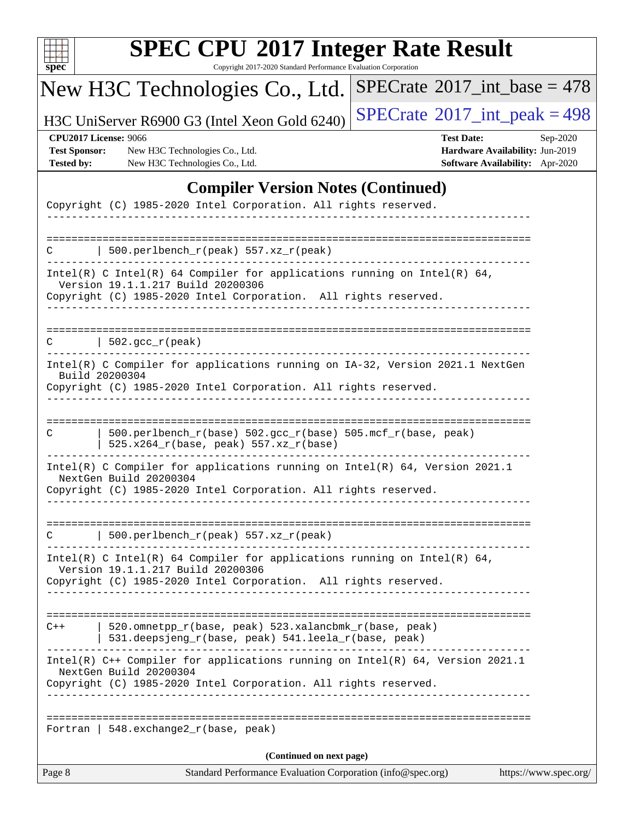| u<br>r |  |  |  |  |  |  |
|--------|--|--|--|--|--|--|

Copyright 2017-2020 Standard Performance Evaluation Corporation

# New H3C Technologies Co., Ltd.

H3C UniServer R6900 G3 (Intel Xeon Gold 6240)  $\left|$  [SPECrate](http://www.spec.org/auto/cpu2017/Docs/result-fields.html#SPECrate2017intpeak)<sup>®</sup>[2017\\_int\\_peak = 4](http://www.spec.org/auto/cpu2017/Docs/result-fields.html#SPECrate2017intpeak)98

 $SPECrate$ <sup>®</sup>[2017\\_int\\_base =](http://www.spec.org/auto/cpu2017/Docs/result-fields.html#SPECrate2017intbase) 478

**[Test Sponsor:](http://www.spec.org/auto/cpu2017/Docs/result-fields.html#TestSponsor)** New H3C Technologies Co., Ltd. **[Hardware Availability:](http://www.spec.org/auto/cpu2017/Docs/result-fields.html#HardwareAvailability)** Jun-2019 **[Tested by:](http://www.spec.org/auto/cpu2017/Docs/result-fields.html#Testedby)** New H3C Technologies Co., Ltd. **[Software Availability:](http://www.spec.org/auto/cpu2017/Docs/result-fields.html#SoftwareAvailability)** Apr-2020

**[CPU2017 License:](http://www.spec.org/auto/cpu2017/Docs/result-fields.html#CPU2017License)** 9066 **[Test Date:](http://www.spec.org/auto/cpu2017/Docs/result-fields.html#TestDate)** Sep-2020

### **[Compiler Version Notes \(Continued\)](http://www.spec.org/auto/cpu2017/Docs/result-fields.html#CompilerVersionNotes)**

| Page 8                                                          | Standard Performance Evaluation Corporation (info@spec.org)                                                                                                                      | https://www.spec.org/ |
|-----------------------------------------------------------------|----------------------------------------------------------------------------------------------------------------------------------------------------------------------------------|-----------------------|
|                                                                 | (Continued on next page)                                                                                                                                                         |                       |
|                                                                 | Fortran   548. exchange $2\lfloor r(\text{base}, \text{peak}) \rfloor$                                                                                                           |                       |
|                                                                 | Intel(R) $C++$ Compiler for applications running on Intel(R) 64, Version 2021.1<br>NextGen Build 20200304<br>Copyright (C) 1985-2020 Intel Corporation. All rights reserved.     |                       |
| $C++$                                                           | ====================================<br>520.omnetpp_r(base, peak) 523.xalancbmk_r(base, peak)<br>531.deepsjeng_r(base, peak) 541.leela_r(base, peak)<br><u>_______________</u>   |                       |
|                                                                 | Intel(R) C Intel(R) 64 Compiler for applications running on Intel(R) 64,<br>Version 19.1.1.217 Build 20200306<br>Copyright (C) 1985-2020 Intel Corporation. All rights reserved. |                       |
|                                                                 | 500.perlbench_r(peak) 557.xz_r(peak)                                                                                                                                             |                       |
|                                                                 | Intel(R) C Compiler for applications running on Intel(R) $64$ , Version 2021.1<br>NextGen Build 20200304<br>Copyright (C) 1985-2020 Intel Corporation. All rights reserved.      |                       |
| C                                                               | 500.perlbench_r(base) 502.gcc_r(base) 505.mcf_r(base, peak)<br>525.x264_r(base, peak) 557.xz_r(base)                                                                             |                       |
|                                                                 | Intel(R) C Compiler for applications running on IA-32, Version 2021.1 NextGen<br>Build 20200304<br>Copyright (C) 1985-2020 Intel Corporation. All rights reserved.               |                       |
| C                                                               | 502.gcc_r(peak)                                                                                                                                                                  |                       |
|                                                                 |                                                                                                                                                                                  |                       |
|                                                                 | Intel(R) C Intel(R) 64 Compiler for applications running on Intel(R) 64,<br>Version 19.1.1.217 Build 20200306<br>Copyright (C) 1985-2020 Intel Corporation. All rights reserved. |                       |
|                                                                 | 500.perlbench_r(peak) 557.xz_r(peak)                                                                                                                                             |                       |
| Copyright (C) 1985-2020 Intel Corporation. All rights reserved. |                                                                                                                                                                                  |                       |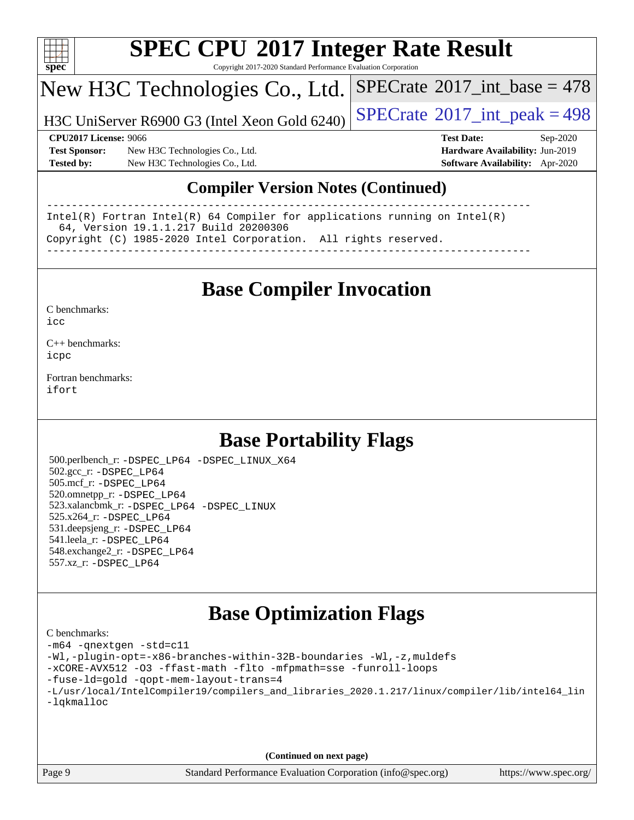

Copyright 2017-2020 Standard Performance Evaluation Corporation

## New H3C Technologies Co., Ltd.

H3C UniServer R6900 G3 (Intel Xeon Gold 6240)  $\left|$  [SPECrate](http://www.spec.org/auto/cpu2017/Docs/result-fields.html#SPECrate2017intpeak)<sup>®</sup>[2017\\_int\\_peak = 4](http://www.spec.org/auto/cpu2017/Docs/result-fields.html#SPECrate2017intpeak)98

 $SPECTate$ <sup>®</sup>[2017\\_int\\_base =](http://www.spec.org/auto/cpu2017/Docs/result-fields.html#SPECrate2017intbase) 478

**[Test Sponsor:](http://www.spec.org/auto/cpu2017/Docs/result-fields.html#TestSponsor)** New H3C Technologies Co., Ltd. **[Hardware Availability:](http://www.spec.org/auto/cpu2017/Docs/result-fields.html#HardwareAvailability)** Jun-2019 **[Tested by:](http://www.spec.org/auto/cpu2017/Docs/result-fields.html#Testedby)** New H3C Technologies Co., Ltd. **[Software Availability:](http://www.spec.org/auto/cpu2017/Docs/result-fields.html#SoftwareAvailability)** Apr-2020

**[CPU2017 License:](http://www.spec.org/auto/cpu2017/Docs/result-fields.html#CPU2017License)** 9066 **[Test Date:](http://www.spec.org/auto/cpu2017/Docs/result-fields.html#TestDate)** Sep-2020

### **[Compiler Version Notes \(Continued\)](http://www.spec.org/auto/cpu2017/Docs/result-fields.html#CompilerVersionNotes)**

------------------------------------------------------------------------------ Intel(R) Fortran Intel(R) 64 Compiler for applications running on Intel(R) 64, Version 19.1.1.217 Build 20200306 Copyright (C) 1985-2020 Intel Corporation. All rights reserved. ------------------------------------------------------------------------------

### **[Base Compiler Invocation](http://www.spec.org/auto/cpu2017/Docs/result-fields.html#BaseCompilerInvocation)**

[C benchmarks](http://www.spec.org/auto/cpu2017/Docs/result-fields.html#Cbenchmarks):  $i$ cc

[C++ benchmarks:](http://www.spec.org/auto/cpu2017/Docs/result-fields.html#CXXbenchmarks) [icpc](http://www.spec.org/cpu2017/results/res2020q4/cpu2017-20200927-24037.flags.html#user_CXXbase_intel_icpc_c510b6838c7f56d33e37e94d029a35b4a7bccf4766a728ee175e80a419847e808290a9b78be685c44ab727ea267ec2f070ec5dc83b407c0218cded6866a35d07)

[Fortran benchmarks](http://www.spec.org/auto/cpu2017/Docs/result-fields.html#Fortranbenchmarks): [ifort](http://www.spec.org/cpu2017/results/res2020q4/cpu2017-20200927-24037.flags.html#user_FCbase_intel_ifort_8111460550e3ca792625aed983ce982f94888b8b503583aa7ba2b8303487b4d8a21a13e7191a45c5fd58ff318f48f9492884d4413fa793fd88dd292cad7027ca)

### **[Base Portability Flags](http://www.spec.org/auto/cpu2017/Docs/result-fields.html#BasePortabilityFlags)**

 500.perlbench\_r: [-DSPEC\\_LP64](http://www.spec.org/cpu2017/results/res2020q4/cpu2017-20200927-24037.flags.html#b500.perlbench_r_basePORTABILITY_DSPEC_LP64) [-DSPEC\\_LINUX\\_X64](http://www.spec.org/cpu2017/results/res2020q4/cpu2017-20200927-24037.flags.html#b500.perlbench_r_baseCPORTABILITY_DSPEC_LINUX_X64) 502.gcc\_r: [-DSPEC\\_LP64](http://www.spec.org/cpu2017/results/res2020q4/cpu2017-20200927-24037.flags.html#suite_basePORTABILITY502_gcc_r_DSPEC_LP64) 505.mcf\_r: [-DSPEC\\_LP64](http://www.spec.org/cpu2017/results/res2020q4/cpu2017-20200927-24037.flags.html#suite_basePORTABILITY505_mcf_r_DSPEC_LP64) 520.omnetpp\_r: [-DSPEC\\_LP64](http://www.spec.org/cpu2017/results/res2020q4/cpu2017-20200927-24037.flags.html#suite_basePORTABILITY520_omnetpp_r_DSPEC_LP64) 523.xalancbmk\_r: [-DSPEC\\_LP64](http://www.spec.org/cpu2017/results/res2020q4/cpu2017-20200927-24037.flags.html#suite_basePORTABILITY523_xalancbmk_r_DSPEC_LP64) [-DSPEC\\_LINUX](http://www.spec.org/cpu2017/results/res2020q4/cpu2017-20200927-24037.flags.html#b523.xalancbmk_r_baseCXXPORTABILITY_DSPEC_LINUX) 525.x264\_r: [-DSPEC\\_LP64](http://www.spec.org/cpu2017/results/res2020q4/cpu2017-20200927-24037.flags.html#suite_basePORTABILITY525_x264_r_DSPEC_LP64) 531.deepsjeng\_r: [-DSPEC\\_LP64](http://www.spec.org/cpu2017/results/res2020q4/cpu2017-20200927-24037.flags.html#suite_basePORTABILITY531_deepsjeng_r_DSPEC_LP64) 541.leela\_r: [-DSPEC\\_LP64](http://www.spec.org/cpu2017/results/res2020q4/cpu2017-20200927-24037.flags.html#suite_basePORTABILITY541_leela_r_DSPEC_LP64) 548.exchange2\_r: [-DSPEC\\_LP64](http://www.spec.org/cpu2017/results/res2020q4/cpu2017-20200927-24037.flags.html#suite_basePORTABILITY548_exchange2_r_DSPEC_LP64) 557.xz\_r: [-DSPEC\\_LP64](http://www.spec.org/cpu2017/results/res2020q4/cpu2017-20200927-24037.flags.html#suite_basePORTABILITY557_xz_r_DSPEC_LP64)

### **[Base Optimization Flags](http://www.spec.org/auto/cpu2017/Docs/result-fields.html#BaseOptimizationFlags)**

| C benchmarks:                                                                                  |
|------------------------------------------------------------------------------------------------|
| -m64 -qnextgen -std=c11                                                                        |
| -Wl,-plugin-opt=-x86-branches-within-32B-boundaries -Wl,-z, muldefs                            |
| -xCORE-AVX512 -03 -ffast-math -flto -mfpmath=sse -funroll-loops                                |
| -fuse-ld=gold -gopt-mem-layout-trans=4                                                         |
| -L/usr/local/IntelCompiler19/compilers and libraries 2020.1.217/linux/compiler/lib/intel64 lin |
| -lakmalloc                                                                                     |
|                                                                                                |
|                                                                                                |
|                                                                                                |

**(Continued on next page)**

Page 9 Standard Performance Evaluation Corporation [\(info@spec.org\)](mailto:info@spec.org) <https://www.spec.org/>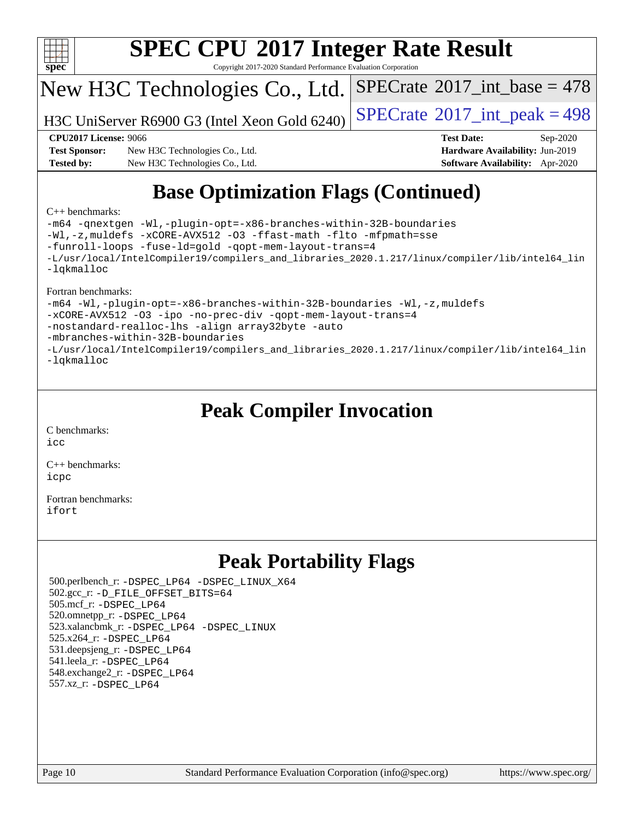

Copyright 2017-2020 Standard Performance Evaluation Corporation

## New H3C Technologies Co., Ltd.

H3C UniServer R6900 G3 (Intel Xeon Gold 6240)  $\left|$  [SPECrate](http://www.spec.org/auto/cpu2017/Docs/result-fields.html#SPECrate2017intpeak)<sup>®</sup>[2017\\_int\\_peak = 4](http://www.spec.org/auto/cpu2017/Docs/result-fields.html#SPECrate2017intpeak)98

 $SPECTate$ <sup>®</sup>[2017\\_int\\_base =](http://www.spec.org/auto/cpu2017/Docs/result-fields.html#SPECrate2017intbase) 478

**[Test Sponsor:](http://www.spec.org/auto/cpu2017/Docs/result-fields.html#TestSponsor)** New H3C Technologies Co., Ltd. **[Hardware Availability:](http://www.spec.org/auto/cpu2017/Docs/result-fields.html#HardwareAvailability)** Jun-2019 **[Tested by:](http://www.spec.org/auto/cpu2017/Docs/result-fields.html#Testedby)** New H3C Technologies Co., Ltd. **[Software Availability:](http://www.spec.org/auto/cpu2017/Docs/result-fields.html#SoftwareAvailability)** Apr-2020

**[CPU2017 License:](http://www.spec.org/auto/cpu2017/Docs/result-fields.html#CPU2017License)** 9066 **[Test Date:](http://www.spec.org/auto/cpu2017/Docs/result-fields.html#TestDate)** Sep-2020

# **[Base Optimization Flags \(Continued\)](http://www.spec.org/auto/cpu2017/Docs/result-fields.html#BaseOptimizationFlags)**

#### [C++ benchmarks:](http://www.spec.org/auto/cpu2017/Docs/result-fields.html#CXXbenchmarks)

[-m64](http://www.spec.org/cpu2017/results/res2020q4/cpu2017-20200927-24037.flags.html#user_CXXbase_m64-icc) [-qnextgen](http://www.spec.org/cpu2017/results/res2020q4/cpu2017-20200927-24037.flags.html#user_CXXbase_f-qnextgen) [-Wl,-plugin-opt=-x86-branches-within-32B-boundaries](http://www.spec.org/cpu2017/results/res2020q4/cpu2017-20200927-24037.flags.html#user_CXXbase_f-x86-branches-within-32B-boundaries_0098b4e4317ae60947b7b728078a624952a08ac37a3c797dfb4ffeb399e0c61a9dd0f2f44ce917e9361fb9076ccb15e7824594512dd315205382d84209e912f3) [-Wl,-z,muldefs](http://www.spec.org/cpu2017/results/res2020q4/cpu2017-20200927-24037.flags.html#user_CXXbase_link_force_multiple1_b4cbdb97b34bdee9ceefcfe54f4c8ea74255f0b02a4b23e853cdb0e18eb4525ac79b5a88067c842dd0ee6996c24547a27a4b99331201badda8798ef8a743f577) [-xCORE-AVX512](http://www.spec.org/cpu2017/results/res2020q4/cpu2017-20200927-24037.flags.html#user_CXXbase_f-xCORE-AVX512) [-O3](http://www.spec.org/cpu2017/results/res2020q4/cpu2017-20200927-24037.flags.html#user_CXXbase_f-O3) [-ffast-math](http://www.spec.org/cpu2017/results/res2020q4/cpu2017-20200927-24037.flags.html#user_CXXbase_f-ffast-math) [-flto](http://www.spec.org/cpu2017/results/res2020q4/cpu2017-20200927-24037.flags.html#user_CXXbase_f-flto) [-mfpmath=sse](http://www.spec.org/cpu2017/results/res2020q4/cpu2017-20200927-24037.flags.html#user_CXXbase_f-mfpmath_70eb8fac26bde974f8ab713bc9086c5621c0b8d2f6c86f38af0bd7062540daf19db5f3a066d8c6684be05d84c9b6322eb3b5be6619d967835195b93d6c02afa1) [-funroll-loops](http://www.spec.org/cpu2017/results/res2020q4/cpu2017-20200927-24037.flags.html#user_CXXbase_f-funroll-loops) [-fuse-ld=gold](http://www.spec.org/cpu2017/results/res2020q4/cpu2017-20200927-24037.flags.html#user_CXXbase_f-fuse-ld_920b3586e2b8c6e0748b9c84fa9b744736ba725a32cab14ad8f3d4ad28eecb2f59d1144823d2e17006539a88734fe1fc08fc3035f7676166309105a78aaabc32) [-qopt-mem-layout-trans=4](http://www.spec.org/cpu2017/results/res2020q4/cpu2017-20200927-24037.flags.html#user_CXXbase_f-qopt-mem-layout-trans_fa39e755916c150a61361b7846f310bcdf6f04e385ef281cadf3647acec3f0ae266d1a1d22d972a7087a248fd4e6ca390a3634700869573d231a252c784941a8) [-L/usr/local/IntelCompiler19/compilers\\_and\\_libraries\\_2020.1.217/linux/compiler/lib/intel64\\_lin](http://www.spec.org/cpu2017/results/res2020q4/cpu2017-20200927-24037.flags.html#user_CXXbase_linkpath_2cb6f503891ebf8baee7515f4e7d4ec1217444d1d05903cc0091ac4158de400651d2b2313a9fa414cb8a8f0e16ab029634f5c6db340f400369c190d4db8a54a0) [-lqkmalloc](http://www.spec.org/cpu2017/results/res2020q4/cpu2017-20200927-24037.flags.html#user_CXXbase_qkmalloc_link_lib_79a818439969f771c6bc311cfd333c00fc099dad35c030f5aab9dda831713d2015205805422f83de8875488a2991c0a156aaa600e1f9138f8fc37004abc96dc5)

#### [Fortran benchmarks:](http://www.spec.org/auto/cpu2017/Docs/result-fields.html#Fortranbenchmarks)

[-m64](http://www.spec.org/cpu2017/results/res2020q4/cpu2017-20200927-24037.flags.html#user_FCbase_m64-icc) [-Wl,-plugin-opt=-x86-branches-within-32B-boundaries](http://www.spec.org/cpu2017/results/res2020q4/cpu2017-20200927-24037.flags.html#user_FCbase_f-x86-branches-within-32B-boundaries_0098b4e4317ae60947b7b728078a624952a08ac37a3c797dfb4ffeb399e0c61a9dd0f2f44ce917e9361fb9076ccb15e7824594512dd315205382d84209e912f3) [-Wl,-z,muldefs](http://www.spec.org/cpu2017/results/res2020q4/cpu2017-20200927-24037.flags.html#user_FCbase_link_force_multiple1_b4cbdb97b34bdee9ceefcfe54f4c8ea74255f0b02a4b23e853cdb0e18eb4525ac79b5a88067c842dd0ee6996c24547a27a4b99331201badda8798ef8a743f577) [-xCORE-AVX512](http://www.spec.org/cpu2017/results/res2020q4/cpu2017-20200927-24037.flags.html#user_FCbase_f-xCORE-AVX512) [-O3](http://www.spec.org/cpu2017/results/res2020q4/cpu2017-20200927-24037.flags.html#user_FCbase_f-O3) [-ipo](http://www.spec.org/cpu2017/results/res2020q4/cpu2017-20200927-24037.flags.html#user_FCbase_f-ipo) [-no-prec-div](http://www.spec.org/cpu2017/results/res2020q4/cpu2017-20200927-24037.flags.html#user_FCbase_f-no-prec-div) [-qopt-mem-layout-trans=4](http://www.spec.org/cpu2017/results/res2020q4/cpu2017-20200927-24037.flags.html#user_FCbase_f-qopt-mem-layout-trans_fa39e755916c150a61361b7846f310bcdf6f04e385ef281cadf3647acec3f0ae266d1a1d22d972a7087a248fd4e6ca390a3634700869573d231a252c784941a8) [-nostandard-realloc-lhs](http://www.spec.org/cpu2017/results/res2020q4/cpu2017-20200927-24037.flags.html#user_FCbase_f_2003_std_realloc_82b4557e90729c0f113870c07e44d33d6f5a304b4f63d4c15d2d0f1fab99f5daaed73bdb9275d9ae411527f28b936061aa8b9c8f2d63842963b95c9dd6426b8a) [-align array32byte](http://www.spec.org/cpu2017/results/res2020q4/cpu2017-20200927-24037.flags.html#user_FCbase_align_array32byte_b982fe038af199962ba9a80c053b8342c548c85b40b8e86eb3cc33dee0d7986a4af373ac2d51c3f7cf710a18d62fdce2948f201cd044323541f22fc0fffc51b6) [-auto](http://www.spec.org/cpu2017/results/res2020q4/cpu2017-20200927-24037.flags.html#user_FCbase_f-auto) [-mbranches-within-32B-boundaries](http://www.spec.org/cpu2017/results/res2020q4/cpu2017-20200927-24037.flags.html#user_FCbase_f-mbranches-within-32B-boundaries) [-L/usr/local/IntelCompiler19/compilers\\_and\\_libraries\\_2020.1.217/linux/compiler/lib/intel64\\_lin](http://www.spec.org/cpu2017/results/res2020q4/cpu2017-20200927-24037.flags.html#user_FCbase_linkpath_2cb6f503891ebf8baee7515f4e7d4ec1217444d1d05903cc0091ac4158de400651d2b2313a9fa414cb8a8f0e16ab029634f5c6db340f400369c190d4db8a54a0) [-lqkmalloc](http://www.spec.org/cpu2017/results/res2020q4/cpu2017-20200927-24037.flags.html#user_FCbase_qkmalloc_link_lib_79a818439969f771c6bc311cfd333c00fc099dad35c030f5aab9dda831713d2015205805422f83de8875488a2991c0a156aaa600e1f9138f8fc37004abc96dc5)

## **[Peak Compiler Invocation](http://www.spec.org/auto/cpu2017/Docs/result-fields.html#PeakCompilerInvocation)**

[C benchmarks](http://www.spec.org/auto/cpu2017/Docs/result-fields.html#Cbenchmarks): [icc](http://www.spec.org/cpu2017/results/res2020q4/cpu2017-20200927-24037.flags.html#user_CCpeak_intel_icc_66fc1ee009f7361af1fbd72ca7dcefbb700085f36577c54f309893dd4ec40d12360134090235512931783d35fd58c0460139e722d5067c5574d8eaf2b3e37e92)

[C++ benchmarks:](http://www.spec.org/auto/cpu2017/Docs/result-fields.html#CXXbenchmarks) [icpc](http://www.spec.org/cpu2017/results/res2020q4/cpu2017-20200927-24037.flags.html#user_CXXpeak_intel_icpc_c510b6838c7f56d33e37e94d029a35b4a7bccf4766a728ee175e80a419847e808290a9b78be685c44ab727ea267ec2f070ec5dc83b407c0218cded6866a35d07)

[Fortran benchmarks](http://www.spec.org/auto/cpu2017/Docs/result-fields.html#Fortranbenchmarks): [ifort](http://www.spec.org/cpu2017/results/res2020q4/cpu2017-20200927-24037.flags.html#user_FCpeak_intel_ifort_8111460550e3ca792625aed983ce982f94888b8b503583aa7ba2b8303487b4d8a21a13e7191a45c5fd58ff318f48f9492884d4413fa793fd88dd292cad7027ca)

## **[Peak Portability Flags](http://www.spec.org/auto/cpu2017/Docs/result-fields.html#PeakPortabilityFlags)**

 500.perlbench\_r: [-DSPEC\\_LP64](http://www.spec.org/cpu2017/results/res2020q4/cpu2017-20200927-24037.flags.html#b500.perlbench_r_peakPORTABILITY_DSPEC_LP64) [-DSPEC\\_LINUX\\_X64](http://www.spec.org/cpu2017/results/res2020q4/cpu2017-20200927-24037.flags.html#b500.perlbench_r_peakCPORTABILITY_DSPEC_LINUX_X64) 502.gcc\_r: [-D\\_FILE\\_OFFSET\\_BITS=64](http://www.spec.org/cpu2017/results/res2020q4/cpu2017-20200927-24037.flags.html#user_peakPORTABILITY502_gcc_r_file_offset_bits_64_5ae949a99b284ddf4e95728d47cb0843d81b2eb0e18bdfe74bbf0f61d0b064f4bda2f10ea5eb90e1dcab0e84dbc592acfc5018bc955c18609f94ddb8d550002c) 505.mcf\_r: [-DSPEC\\_LP64](http://www.spec.org/cpu2017/results/res2020q4/cpu2017-20200927-24037.flags.html#suite_peakPORTABILITY505_mcf_r_DSPEC_LP64) 520.omnetpp\_r: [-DSPEC\\_LP64](http://www.spec.org/cpu2017/results/res2020q4/cpu2017-20200927-24037.flags.html#suite_peakPORTABILITY520_omnetpp_r_DSPEC_LP64) 523.xalancbmk\_r: [-DSPEC\\_LP64](http://www.spec.org/cpu2017/results/res2020q4/cpu2017-20200927-24037.flags.html#suite_peakPORTABILITY523_xalancbmk_r_DSPEC_LP64) [-DSPEC\\_LINUX](http://www.spec.org/cpu2017/results/res2020q4/cpu2017-20200927-24037.flags.html#b523.xalancbmk_r_peakCXXPORTABILITY_DSPEC_LINUX) 525.x264\_r: [-DSPEC\\_LP64](http://www.spec.org/cpu2017/results/res2020q4/cpu2017-20200927-24037.flags.html#suite_peakPORTABILITY525_x264_r_DSPEC_LP64) 531.deepsjeng\_r: [-DSPEC\\_LP64](http://www.spec.org/cpu2017/results/res2020q4/cpu2017-20200927-24037.flags.html#suite_peakPORTABILITY531_deepsjeng_r_DSPEC_LP64) 541.leela\_r: [-DSPEC\\_LP64](http://www.spec.org/cpu2017/results/res2020q4/cpu2017-20200927-24037.flags.html#suite_peakPORTABILITY541_leela_r_DSPEC_LP64) 548.exchange2\_r: [-DSPEC\\_LP64](http://www.spec.org/cpu2017/results/res2020q4/cpu2017-20200927-24037.flags.html#suite_peakPORTABILITY548_exchange2_r_DSPEC_LP64) 557.xz\_r: [-DSPEC\\_LP64](http://www.spec.org/cpu2017/results/res2020q4/cpu2017-20200927-24037.flags.html#suite_peakPORTABILITY557_xz_r_DSPEC_LP64)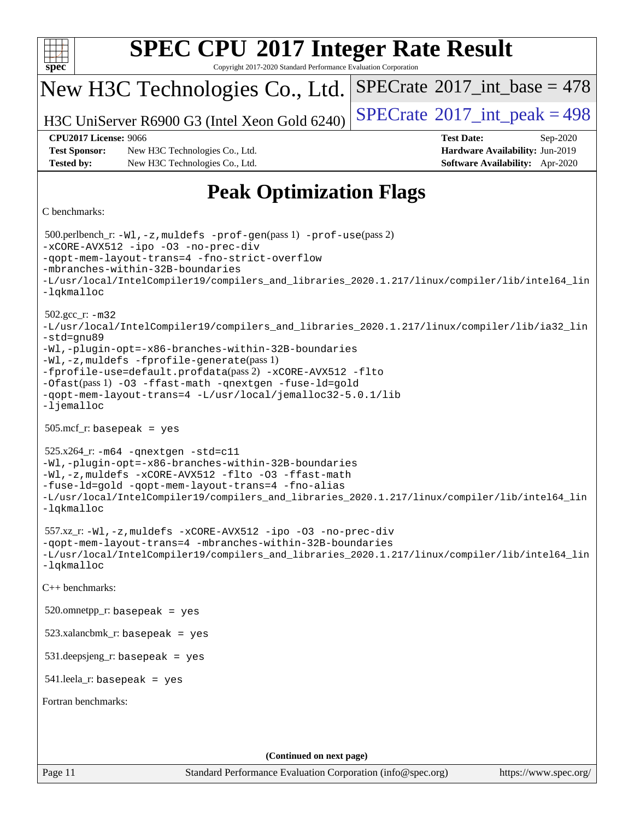| <b>SPEC CPU®2017 Integer Rate Result</b><br>spec<br>Copyright 2017-2020 Standard Performance Evaluation Corporation                                                                                                                                                                                                                                                                                                                                   |                                                                                                            |  |  |  |  |  |  |
|-------------------------------------------------------------------------------------------------------------------------------------------------------------------------------------------------------------------------------------------------------------------------------------------------------------------------------------------------------------------------------------------------------------------------------------------------------|------------------------------------------------------------------------------------------------------------|--|--|--|--|--|--|
| New H3C Technologies Co., Ltd.                                                                                                                                                                                                                                                                                                                                                                                                                        | $SPECTate$ <sup>®</sup> 2017_int_base = 478                                                                |  |  |  |  |  |  |
| H3C UniServer R6900 G3 (Intel Xeon Gold 6240)                                                                                                                                                                                                                                                                                                                                                                                                         | $SPECTate$ <sup>®</sup> 2017_int_peak = 498                                                                |  |  |  |  |  |  |
| <b>CPU2017 License: 9066</b><br><b>Test Sponsor:</b><br>New H3C Technologies Co., Ltd.<br><b>Tested by:</b><br>New H3C Technologies Co., Ltd.                                                                                                                                                                                                                                                                                                         | <b>Test Date:</b><br>Sep-2020<br>Hardware Availability: Jun-2019<br><b>Software Availability:</b> Apr-2020 |  |  |  |  |  |  |
| <b>Peak Optimization Flags</b>                                                                                                                                                                                                                                                                                                                                                                                                                        |                                                                                                            |  |  |  |  |  |  |
| C benchmarks:                                                                                                                                                                                                                                                                                                                                                                                                                                         |                                                                                                            |  |  |  |  |  |  |
| $500.$ perlbench_r: -Wl, -z, muldefs -prof-gen(pass 1) -prof-use(pass 2)<br>-xCORE-AVX512 -ipo -03 -no-prec-div<br>-gopt-mem-layout-trans=4 -fno-strict-overflow<br>-mbranches-within-32B-boundaries<br>-L/usr/local/IntelCompiler19/compilers_and_libraries_2020.1.217/linux/compiler/lib/intel64_lin<br>-lqkmalloc                                                                                                                                  |                                                                                                            |  |  |  |  |  |  |
| $502.\text{gcc\_r}$ : $-m32$<br>-L/usr/local/IntelCompiler19/compilers_and_libraries_2020.1.217/linux/compiler/lib/ia32_lin<br>-std=gnu89<br>-Wl,-plugin-opt=-x86-branches-within-32B-boundaries<br>-Wl,-z, muldefs -fprofile-generate(pass 1)<br>-fprofile-use=default.profdata(pass 2) -xCORE-AVX512 -flto<br>-Ofast(pass 1) -03 -ffast-math -qnextgen -fuse-ld=gold<br>-qopt-mem-layout-trans=4 -L/usr/local/jemalloc32-5.0.1/lib<br>$-lj$ emalloc |                                                                                                            |  |  |  |  |  |  |
| $505.\text{mcf}_r$ : basepeak = yes                                                                                                                                                                                                                                                                                                                                                                                                                   |                                                                                                            |  |  |  |  |  |  |
| $525.x264$ - $r: -m64$ -qnextgen -std=c11<br>-Wl,-plugin-opt=-x86-branches-within-32B-boundaries<br>-Wl,-z, muldefs -xCORE-AVX512 -flto -03 -ffast-math<br>-fuse-ld=gold -qopt-mem-layout-trans=4 -fno-alias<br>-L/usr/local/IntelCompiler19/compilers_and_libraries_2020.1.217/linux/compiler/lib/intel64_lin<br>-lqkmalloc                                                                                                                          |                                                                                                            |  |  |  |  |  |  |
| $557.xz_r: -W1, -z$ , muldefs $-xCORE-AVX512 -ipo -03 -no-prec-div$<br>-qopt-mem-layout-trans=4 -mbranches-within-32B-boundaries<br>-L/usr/local/IntelCompiler19/compilers_and_libraries_2020.1.217/linux/compiler/lib/intel64_lin<br>-lqkmalloc                                                                                                                                                                                                      |                                                                                                            |  |  |  |  |  |  |
| C++ benchmarks:                                                                                                                                                                                                                                                                                                                                                                                                                                       |                                                                                                            |  |  |  |  |  |  |
| $520.$ omnetpp_r: basepeak = yes                                                                                                                                                                                                                                                                                                                                                                                                                      |                                                                                                            |  |  |  |  |  |  |
| $523.xalanchmk_r:$ basepeak = yes                                                                                                                                                                                                                                                                                                                                                                                                                     |                                                                                                            |  |  |  |  |  |  |
| $531.$ deepsjeng_r: basepeak = yes                                                                                                                                                                                                                                                                                                                                                                                                                    |                                                                                                            |  |  |  |  |  |  |
| $541$ leela_r: basepeak = yes                                                                                                                                                                                                                                                                                                                                                                                                                         |                                                                                                            |  |  |  |  |  |  |
| Fortran benchmarks:                                                                                                                                                                                                                                                                                                                                                                                                                                   |                                                                                                            |  |  |  |  |  |  |
|                                                                                                                                                                                                                                                                                                                                                                                                                                                       |                                                                                                            |  |  |  |  |  |  |
| (Continued on next page)                                                                                                                                                                                                                                                                                                                                                                                                                              |                                                                                                            |  |  |  |  |  |  |
| Page 11<br>Standard Performance Evaluation Corporation (info@spec.org)                                                                                                                                                                                                                                                                                                                                                                                | https://www.spec.org/                                                                                      |  |  |  |  |  |  |